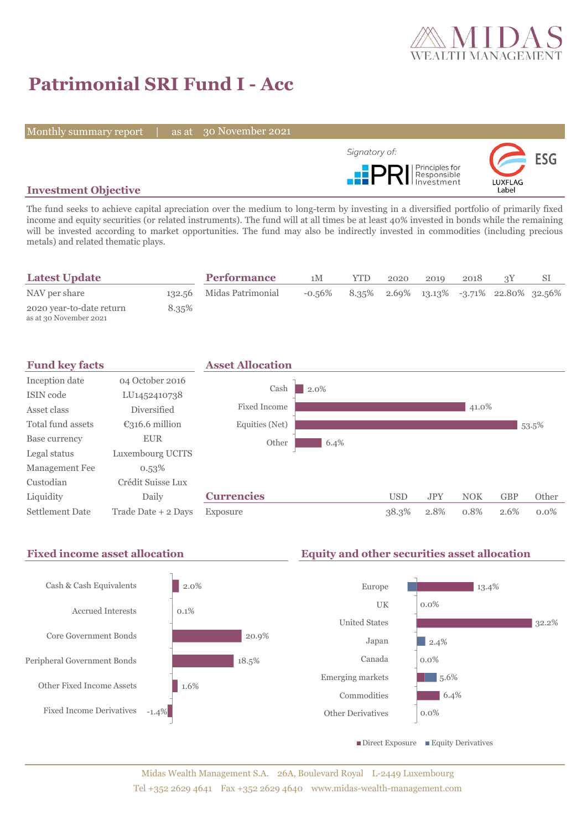

# **Patrimonial SRI Fund I - Acc**

Monthly summary report | as at 30 November 2021



## **Investment Objective**

The fund seeks to achieve capital apreciation over the medium to long-term by investing in a diversified portfolio of primarily fixed income and equity securities (or related instruments). The fund will at all times be at least 40% invested in bonds while the remaining will be invested according to market opportunities. The fund may also be indirectly invested in commodities (including precious metals) and related thematic plays.

| <b>Latest Update</b>                               |       | <b>Performance</b>       | 1M     | YTD | 2020 | 2019 | 2018 |                                            |  |
|----------------------------------------------------|-------|--------------------------|--------|-----|------|------|------|--------------------------------------------|--|
| NAV per share                                      |       | 132.56 Midas Patrimonial | -0.56% |     |      |      |      | $8.35\%$ 2.69% 13.13% -3.71% 22.80% 32.56% |  |
| 2020 year-to-date return<br>as at 30 November 2021 | 8.35% |                          |        |     |      |      |      |                                            |  |



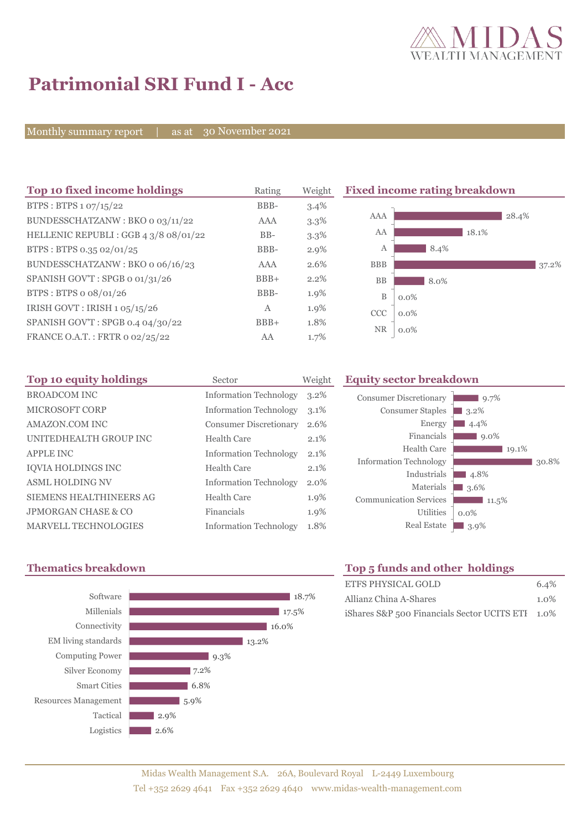

 $\Box$  9.7%

 $19.1%$ 

30.8%

3.2<sup>%</sup>  $4.4\%$  $9.0\%$ 

 $-4.8%$ 3.6<sup>%</sup>

0.0%

 $11.5%$ 

# **Patrimonial SRI Fund I - Acc**

Monthly summary report | as at 30 November 2021

| Top 10 fixed income holdings          | Rating | Weight  | <b>Fixed income rating breakdown</b> |         |       |       |       |
|---------------------------------------|--------|---------|--------------------------------------|---------|-------|-------|-------|
| BTPS : BTPS $1.07/15/22$              | BBB-   | 3.4%    |                                      |         |       |       |       |
| BUNDESSCHATZANW: BKO o 03/11/22       | AAA    | 3.3%    | AAA                                  |         |       | 28.4% |       |
| HELLENIC REPUBLI : GGB 4 3/8 08/01/22 | $BB-$  | $3.3\%$ | AA                                   |         | 18.1% |       |       |
| BTPS: BTPS 0.35 02/01/25              | BBB-   | 2.9%    | А                                    | 8.4%    |       |       |       |
| BUNDESSCHATZANW: BKO o 06/16/23       | AAA    | 2.6%    | <b>BBB</b>                           |         |       |       | 37.2% |
| SPANISH GOV'T: SPGB o 01/31/26        | $BBB+$ | 2.2%    | <b>BB</b>                            | 8.0%    |       |       |       |
| BTPS: BTPS o 08/01/26                 | BBB-   | 1.9%    | B                                    | $0.0\%$ |       |       |       |
| IRISH GOVT : IRISH 1 05/15/26         | A      | 1.9%    | <b>CCC</b>                           | $0.0\%$ |       |       |       |
| SPANISH GOV'T: SPGB 0.4 04/30/22      | $BBB+$ | 1.8%    |                                      |         |       |       |       |
| FRANCE O.A.T.: FRTR 0 02/25/22        | AA     | 1.7%    | <b>NR</b>                            | $0.0\%$ |       |       |       |

| Top 10 equity holdings         | Sector                        | Weight  |
|--------------------------------|-------------------------------|---------|
| <b>BROADCOM INC</b>            | <b>Information Technology</b> | $3.2\%$ |
| <b>MICROSOFT CORP</b>          | <b>Information Technology</b> | 3.1%    |
| AMAZON.COM INC                 | <b>Consumer Discretionary</b> | 2.6%    |
| UNITEDHEALTH GROUP INC         | Health Care                   | 2.1%    |
| <b>APPLE INC</b>               | <b>Information Technology</b> | 2.1%    |
| <b>IOVIA HOLDINGS INC</b>      | Health Care                   | 2.1%    |
| <b>ASML HOLDING NV</b>         | <b>Information Technology</b> | $2.0\%$ |
| <b>SIEMENS HEALTHINEERS AG</b> | Health Care                   | 1.9%    |
| JPMORGAN CHASE & CO            | Financials                    | 1.9%    |
| <b>MARVELL TECHNOLOGIES</b>    | <b>Information Technology</b> | 1.8%    |



# **Thematics breakdown Top 5 funds and other holdings**

Utilities

Energy Financials Health Care

Industrials Materials

**Equity sector breakdown** 

Consumer Discretionary Consumer Staples

Information Technology

Communication Services

| ETFS PHYSICAL GOLD                               | 6.4%    |
|--------------------------------------------------|---------|
| Allianz China A-Shares                           | $1.0\%$ |
| iShares S&P 500 Financials Sector UCITS ETI 1.0% |         |

Real Estate 3.9%